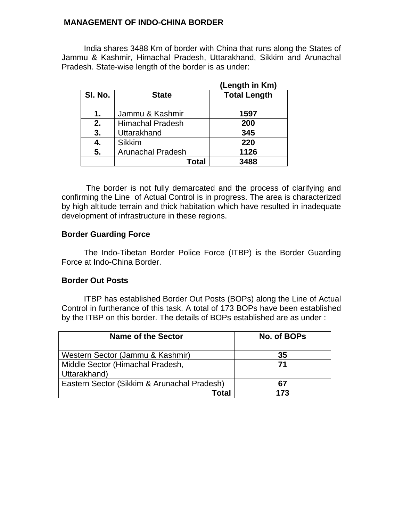#### **MANAGEMENT OF INDO-CHINA BORDER**

India shares 3488 Km of border with China that runs along the States of Jammu & Kashmir, Himachal Pradesh, Uttarakhand, Sikkim and Arunachal Pradesh. State-wise length of the border is as under:

|         |                          | (Length in Km)      |
|---------|--------------------------|---------------------|
| SI. No. | <b>State</b>             | <b>Total Length</b> |
| 1.      | Jammu & Kashmir          | 1597                |
| 2.      | <b>Himachal Pradesh</b>  | 200                 |
| 3.      | Uttarakhand              | 345                 |
| 4.      | <b>Sikkim</b>            | 220                 |
| 5.      | <b>Arunachal Pradesh</b> | 1126                |
|         | Total                    | 3488                |

 The border is not fully demarcated and the process of clarifying and confirming the Line of Actual Control is in progress. The area is characterized by high altitude terrain and thick habitation which have resulted in inadequate development of infrastructure in these regions.

# **Border Guarding Force**

The Indo-Tibetan Border Police Force (ITBP) is the Border Guarding Force at Indo-China Border.

# **Border Out Posts**

ITBP has established Border Out Posts (BOPs) along the Line of Actual Control in furtherance of this task. A total of 173 BOPs have been established by the ITBP on this border. The details of BOPs established are as under :

| <b>Name of the Sector</b>                        | No. of BOPs |
|--------------------------------------------------|-------------|
| Western Sector (Jammu & Kashmir)                 | 35          |
| Middle Sector (Himachal Pradesh,<br>Uttarakhand) | 71          |
| Eastern Sector (Sikkim & Arunachal Pradesh)      | 67          |
| Total                                            | 173         |